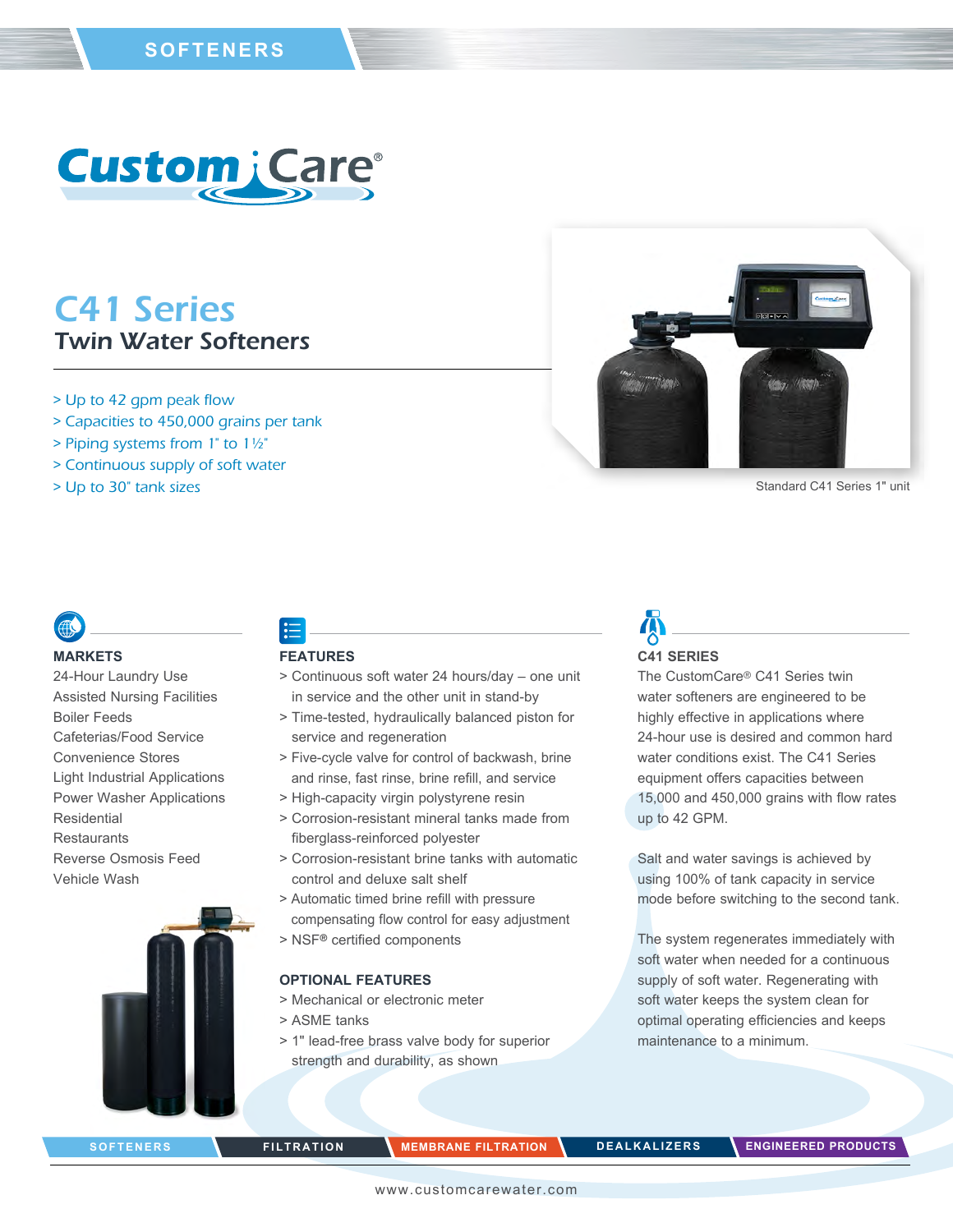

## C41 Series Twin Water Softeners

- > Up to 42 gpm peak flow
- > Capacities to 450,000 grains per tank
- > Piping systems from 1" to 1½"
- > Continuous supply of soft water
- > Up to 30" tank sizes



Standard C41 Series 1" unit

#### **MARKETS**

24-Hour Laundry Use Assisted Nursing Facilities Boiler Feeds Cafeterias/Food Service Convenience Stores Light Industrial Applications Power Washer Applications Residential **Restaurants** Reverse Osmosis Feed Vehicle Wash

### **FEATURES**

- > Continuous soft water 24 hours/day one unit in service and the other unit in stand-by
- > Time-tested, hydraulically balanced piston for service and regeneration
- > Five-cycle valve for control of backwash, brine and rinse, fast rinse, brine refill, and service
- > High-capacity virgin polystyrene resin
- > Corrosion-resistant mineral tanks made from fiberglass-reinforced polyester
- > Corrosion-resistant brine tanks with automatic control and deluxe salt shelf
- > Automatic timed brine refill with pressure compensating flow control for easy adjustment
- > NSF® certified components

### **OPTIONAL FEATURES**

- > Mechanical or electronic meter
- > ASME tanks
- > 1" lead-free brass valve body for superior strength and durability, as shown

# **C41 SERIES**

The CustomCare® C41 Series twin water softeners are engineered to be highly effective in applications where 24-hour use is desired and common hard water conditions exist. The C41 Series equipment offers capacities between 15,000 and 450,000 grains with flow rates up to 42 GPM.

Salt and water savings is achieved by using 100% of tank capacity in service mode before switching to the second tank.

The system regenerates immediately with soft water when needed for a continuous supply of soft water. Regenerating with soft water keeps the system clean for optimal operating efficiencies and keeps maintenance to a minimum.

**SOFTENERS FILTRATION MEMBRANE FILTRATION DEALKALIZERS ENGINEERED PRODUCTS**